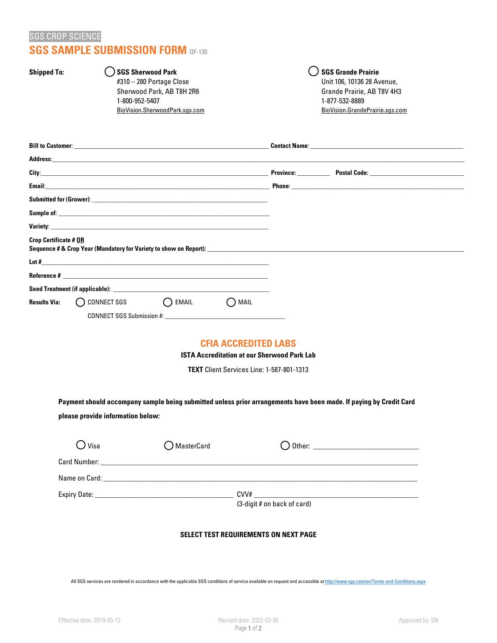# SGS CROP SCIENCE **SGS SAMPLE SUBMISSION FORM** QF-130

#310 – 280 Portage Close Unit 106, 10136 28 Avenue, Sherwood Park, AB T8H 2R6 Grande Prairie, AB T8V 4H3 1-800-952-5407 1-877-532-8889 BioVision.SherwoodPark.sgs.com BioVision.GrandePrairie.sgs.com

Shipped To: **SGS Sherwood Park Shipped** To: **SGS Grande Prairie** 

| <b>Crop Certificate # OR</b> |                |       |      |  | Sequence # & Crop Year (Mandatory for Variety to show on Report): |  |
|------------------------------|----------------|-------|------|--|-------------------------------------------------------------------|--|
|                              |                |       |      |  |                                                                   |  |
|                              |                |       |      |  |                                                                   |  |
|                              |                |       |      |  |                                                                   |  |
| <b>Results Via:</b>          | () CONNECT SGS | EMAIL | MAIL |  |                                                                   |  |
|                              |                |       |      |  |                                                                   |  |

## **CFIA ACCREDITED LABS**

**ISTA Accreditation at our Sherwood Park Lab**

**TEXT** Client Services Line: 1-587-801-1313

**Payment should accompany sample being submitted unless prior arrangements have been made. If paying by Credit Card please provide information below:**

| $\bigcirc$ Visa | ◯ MasterCard |                             |  |
|-----------------|--------------|-----------------------------|--|
|                 |              |                             |  |
|                 |              |                             |  |
|                 |              | CVV#                        |  |
|                 |              | (3-digit # on back of card) |  |

#### **SELECT TEST REQUIREMENTS ON NEXT PAGE**

All SGS services are rendered in accordance with the applicable SGS conditions of service available on request and accessible a[t http://www.sgs.com/en/Terms-and-Conditions.aspx](http://www.sgs.com/en/Terms-and-Conditions.aspx)